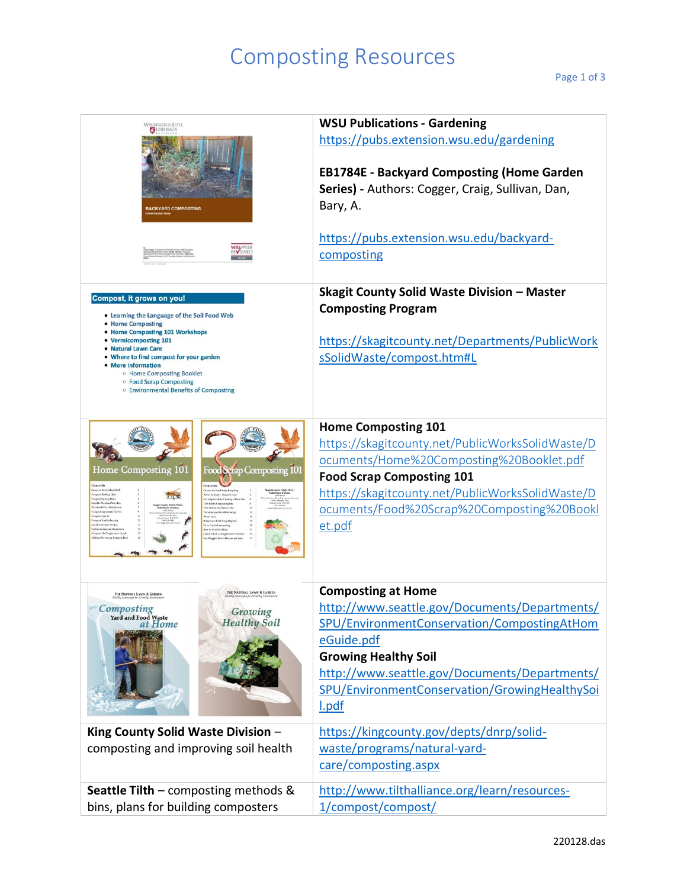## Composting Resources

| WASHINGTON STATE<br>G<br><b>BACKYARD COMPOSTING</b>                                                                                                                                                                                                                                                                                                                                                                                                                                                              | <b>WSU Publications - Gardening</b><br>https://pubs.extension.wsu.edu/gardening<br><b>EB1784E - Backyard Composting (Home Garden</b><br>Series) - Authors: Cogger, Craig, Sullivan, Dan,<br>Bary, A.<br>https://pubs.extension.wsu.edu/backyard-<br>composting                    |
|------------------------------------------------------------------------------------------------------------------------------------------------------------------------------------------------------------------------------------------------------------------------------------------------------------------------------------------------------------------------------------------------------------------------------------------------------------------------------------------------------------------|-----------------------------------------------------------------------------------------------------------------------------------------------------------------------------------------------------------------------------------------------------------------------------------|
| Compost, it grows on you!<br>. Learning the Language of the Soil Food Web<br>• Home Composting<br>• Home Composting 101 Workshops<br>• Vermicomposting 101<br>• Natural Lawn Care<br>. Where to find compost for your garden<br>• More information<br><sup>o</sup> Home Composting Booklet<br><sup>o</sup> Food Scrap Composting<br><sup>o</sup> Environmental Benefits of Composting                                                                                                                            | <b>Skagit County Solid Waste Division - Master</b><br><b>Composting Program</b><br>https://skagitcounty.net/Departments/PublicWork<br>sSolidWaste/compost.htm#L                                                                                                                   |
| Home Composting 101<br>Food Scrap Composting 101<br>ects of the Soil Food We<br>bokes for Food Senp Recycles<br>ompost Holding Units<br>Worth Anatomy - Suspalue View<br>meet Turning Lis<br>ive Step Guide to Creating all<br>wable Wood and Wire<br><b>DIA Worm Composing</b><br>MA Off-the Shelf Worm Bi<br>cessor kurolici<br>export Q & J<br>Norwi Fac<br>respect Troubles<br>Pit or Trench Comper<br>ow to Get Rid of Ray<br>abox Co<br>and Revale<br>report File Ton<br>Smell A Rat: Salving Roders Probl | <b>Home Composting 101</b><br>https://skagitcounty.net/PublicWorksSolidWaste/D<br>ocuments/Home%20Composting%20Booklet.pdf<br><b>Food Scrap Composting 101</b><br>https://skagitcounty.net/PublicWorksSolidWaste/D<br>ocuments/Food%20Scrap%20Composting%20Bookl<br>et.pdf        |
| THE NATURAL LAWN & GARDEN<br>THE NATURAL LAWN & GARDEN<br>Composting<br>Growing<br><b>Yard and Food Waste</b><br><b>Healthy Soil</b><br>at Home                                                                                                                                                                                                                                                                                                                                                                  | <b>Composting at Home</b><br>http://www.seattle.gov/Documents/Departments/<br>SPU/EnvironmentConservation/CompostingAtHom<br>eGuide.pdf<br><b>Growing Healthy Soil</b><br>http://www.seattle.gov/Documents/Departments/<br>SPU/EnvironmentConservation/GrowingHealthySoi<br>l.pdf |
| King County Solid Waste Division -<br>composting and improving soil health                                                                                                                                                                                                                                                                                                                                                                                                                                       | https://kingcounty.gov/depts/dnrp/solid-<br>waste/programs/natural-yard-<br>care/composting.aspx                                                                                                                                                                                  |
| <b>Seattle Tilth</b> – composting methods $\&$<br>bins, plans for building composters                                                                                                                                                                                                                                                                                                                                                                                                                            | http://www.tilthalliance.org/learn/resources-<br>1/compost/compost/                                                                                                                                                                                                               |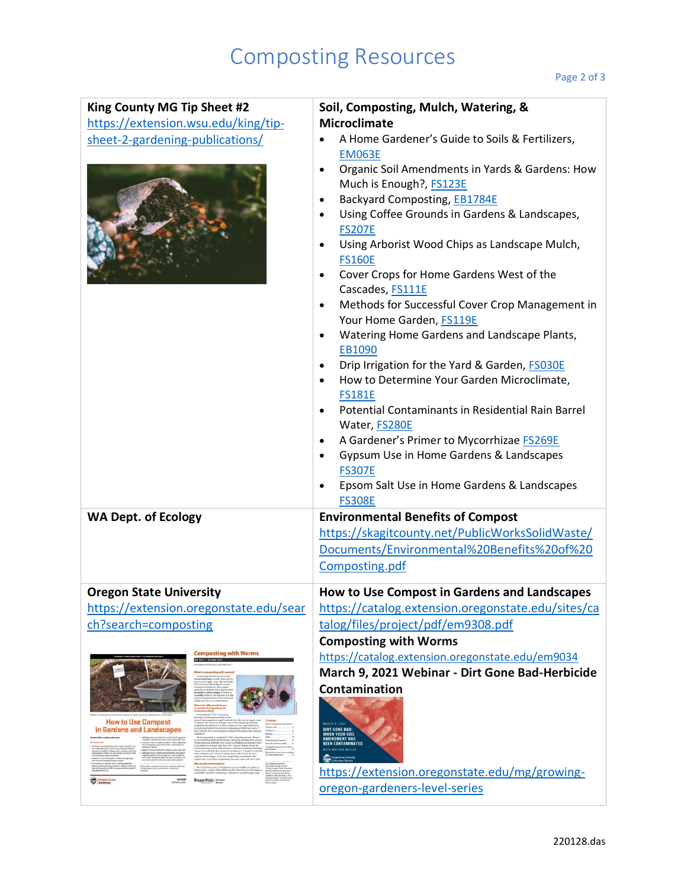## Composting Resources

| King County MG Tip Sheet #2                            | Soil, Composting, Mulch, Watering, &                                                                                                                                                                                                                                                                                                                                   |
|--------------------------------------------------------|------------------------------------------------------------------------------------------------------------------------------------------------------------------------------------------------------------------------------------------------------------------------------------------------------------------------------------------------------------------------|
| https://extension.wsu.edu/king/tip-                    | <b>Microclimate</b>                                                                                                                                                                                                                                                                                                                                                    |
| sheet-2-gardening-publications/                        | A Home Gardener's Guide to Soils & Fertilizers,<br><b>EM063E</b><br>Organic Soil Amendments in Yards & Gardens: How<br>$\bullet$<br>Much is Enough?, FS123E<br>Backyard Composting, EB1784E<br>$\bullet$<br>Using Coffee Grounds in Gardens & Landscapes,<br>$\bullet$<br><b>FS207E</b><br>Using Arborist Wood Chips as Landscape Mulch,<br>$\bullet$<br><b>FS160E</b> |
|                                                        | Cover Crops for Home Gardens West of the<br>$\bullet$<br>Cascades, FS111E                                                                                                                                                                                                                                                                                              |
|                                                        | Methods for Successful Cover Crop Management in<br>$\bullet$<br>Your Home Garden, FS119E                                                                                                                                                                                                                                                                               |
|                                                        | Watering Home Gardens and Landscape Plants,<br>$\bullet$                                                                                                                                                                                                                                                                                                               |
|                                                        | EB1090                                                                                                                                                                                                                                                                                                                                                                 |
|                                                        | Drip Irrigation for the Yard & Garden, FS030E<br>$\bullet$<br>How to Determine Your Garden Microclimate,<br>$\bullet$<br><b>FS181E</b>                                                                                                                                                                                                                                 |
|                                                        | Potential Contaminants in Residential Rain Barrel<br>$\bullet$                                                                                                                                                                                                                                                                                                         |
|                                                        | Water, FS280E                                                                                                                                                                                                                                                                                                                                                          |
|                                                        | A Gardener's Primer to Mycorrhizae FS269E<br>$\bullet$<br>Gypsum Use in Home Gardens & Landscapes<br>$\bullet$<br><b>FS307E</b>                                                                                                                                                                                                                                        |
|                                                        | Epsom Salt Use in Home Gardens & Landscapes<br>$\bullet$<br><b>FS308E</b>                                                                                                                                                                                                                                                                                              |
| <b>WA Dept. of Ecology</b>                             | <b>Environmental Benefits of Compost</b>                                                                                                                                                                                                                                                                                                                               |
|                                                        | https://skagitcounty.net/PublicWorksSolidWaste/                                                                                                                                                                                                                                                                                                                        |
|                                                        | Documents/Environmental%20Benefits%20of%20                                                                                                                                                                                                                                                                                                                             |
|                                                        | Composting.pdf                                                                                                                                                                                                                                                                                                                                                         |
| <b>Oregon State University</b>                         | How to Use Compost in Gardens and Landscapes                                                                                                                                                                                                                                                                                                                           |
| https://extension.oregonstate.edu/sear                 | https://catalog.extension.oregonstate.edu/sites/ca                                                                                                                                                                                                                                                                                                                     |
| ch?search=composting                                   | talog/files/project/pdf/em9308.pdf                                                                                                                                                                                                                                                                                                                                     |
| <b>Composting with Worms</b>                           | <b>Composting with Worms</b>                                                                                                                                                                                                                                                                                                                                           |
| EM 9034 - October 2011                                 | https://catalog.extension.oregonstate.edu/em9034                                                                                                                                                                                                                                                                                                                       |
|                                                        | March 9, 2021 Webinar - Dirt Gone Bad-Herbicide                                                                                                                                                                                                                                                                                                                        |
|                                                        | Contamination                                                                                                                                                                                                                                                                                                                                                          |
| <b>How to Use Compost</b><br>in Gardens and Landscapes | <b>MARCH 9, 2021</b><br><b>DIRT GONE BAD:</b><br><b>WHEN YOUR SOIL<br/>AMENDMENT HAS</b><br><b>BEEN CONTAMINATED</b>                                                                                                                                                                                                                                                   |
| EM 9300<br><b>Oregon State Consule</b><br>Oregon se    | https://extension.oregonstate.edu/mg/growing-<br>oregon-gardeners-level-series                                                                                                                                                                                                                                                                                         |